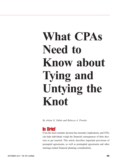# **What CPAs Need to Know about Tying and Untying the Knot**

*By Arlene G. Dubin and Rebecca A. Provder*

### **In Brief**

Even the most romantic decision has monetary implications, and CPAs can help individuals weigh the financial consequences of their decision to get married. This article describes important provisions of prenuptial agreements, as well as postnuptial agreements and other marriage-related financial planning considerations.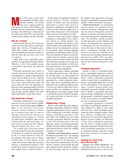**Many CPAs enjoy a close, trust-**<br>
ing relationship with their clients<br>
and their families. As a result,<br>
they are in a unique position to<br>
be alignt: (eq. well, get their children, and ing relationship with their clients and their families. As a result, they are in a unique position to help clients (as well as their children and parents) who are entering into or ending a marriage. The following is a discussion of the various ways that CPAs can assist individuals before, during, and after marriage.

#### **Why Get a Prenup?**

Approximately 40% to 50% of first marriages and more than half of second marriages end in divorce. Prenuptial agreements allow couples, when they are in a more reasonable and amicable mindset, to limit the issues that can arise in the event of a divorce.

Public policy favors individuals reaching their own agreements through contracts. Therefore, in New York, properly executed prenuptial agreements are typically upheld.

Prenuptial agreements may clarify or override statutory provisions that govern what happens to a couple's financial assets in the event of death or divorce. Through such agreements, couples may tailor the law to meet their individual needs and goals. They also have the opportunity to prescribe terms regarding property division upon divorce, financial responsibilities during marriage, spousal support, and estate rights upon death, among other issues.

#### **Who Should Get a Prenup?**

Prenuptial agreements are no longer reserved for the rich and famous. Rather, they have a much broader appeal. *(Editor's note: As the definition of marriage broadens, advisors should also consider the circumstances that apply to same-sex marriages. For a discussion of the tax considerations for these couples, see "Federal Tax Implications of* Windsor: *Major Issues Confront Same-Sex Married Couples," by Scott Ahroni and Benjamin Rue Silliman,* The CPA Journal*, July 2014, p. 58.*)

The average age of men and women marrying for the first time has substantially increased. As couples are marrying later in life, it is more common to enter into the marriage with assets, such as a home, a 401(k) plan, or stock options. If the couple does not have assets, they may have business or professional prospects; if the couple has no assets or prospects, they may have student loans or credit card debts.

In the midst of a significant intergenerational transfer of wealth, a growing number of people enter into prenuptial agreements to protect their current or prospective inheritances. In addition, individuals (or their relatives) might strive to keep family businesses in the immediate family and out of the hands of in-laws.

Divorce touches many people, whether firsthand as a participant, or as a child, a close friend, or a family member. Consequently, individuals may decide to minimize the chances of an acrimonious and contentious divorce by entering into a prenuptial agreement, which provides important protections for traditional clients of CPAs. They are beneficial for high-net-worth individuals who are striving to protect their assets, as well as for older couples with children from prior marriages, by serving as an estate planning mechanism to fairly allocate assets between a new spouse and children from a previous relationship.

With an upcoming wedding, individuals are often starry-eyed in love, with divorce far off their radar. It is often prudent for CPAs to raise the possibility of a prenuptial agreement for a client's long-term protection. Advice from a professional advisor is often perceived as neutral and objective; thus, it can be more effective than advice from a family member. At a minimum, it may be advantageous to encourage engaged clients to consult with a lawyer to find out the potential benefits that may be derived from a prenuptial agreement.

#### **Bulletproofing a Prenup**

*Don't wait until the last minute.* Prenuptial agreements should be drafted, negotiated, and finalized as far in advance of the wedding date as possible. Although signing a prenuptial agreement a few days before the wedding does not render it invalid, agreements should be executed at least 30 to 60 days prior to the wedding date. Ideally, a prenuptial agreement should be finalized before a public engagement announcement or before the wedding invitations are mailed.

*Separate and independent counsel.* Prenuptial agreements have far-reaching implications. A couple has adverse interests with respect to the agreement, so they should not be represented by the same attorney. Instead, to demonstrate that each party entered into the agreement voluntarily and knowingly, and thus to buttress

the validity of the agreement, each party should be represented by separate and independent counsel, selected by each party.

*Financial disclosure.* In matrimonial matters, parties are entitled to broad financial disclosure. Although this right may be waived, both parties should be advised to provide full financial disclosure before entering into a prenuptial agreement. The disclosure should accurately set forth each party's assets, liabilities, and income. An expectation of a material gift or inheritance also may be disclosed, as well as the terms of any trusts to which a party is a beneficiary. Typically, the disclosure is set forth on a schedule that is referenced in the prenuptial agreement and annexed as an exhibit. CPAs can participate in the disclosure process to help ensure that full and accurate information is provided.

#### **Postnuptial Agreements**

Similar in intent to a prenuptial agreement, a postnuptial agreement is entered into after the marriage has taken place, not before. Unlike a separation agreement, which is entered into in contemplation of divorce, a postnuptial agreement is entered into in contemplation of an ongoing marriage. Common reasons people enter postnuptial agreements include insufficient time to finalize a prenuptial agreement before marriage, modification of a prenuptial agreement, a significant change in net worth, or the presence of marital difficulties and an ensuing reconciliation.

A prenuptial agreement is generally preferable to a postnuptial agreement. It is more difficult for a party to waive rights after they have vested. Postnuptial agreements also tend to languish without a deadline, whereas a wedding date creates momentum for prenuptial agreements. Because married couples are fiduciaries in New York, postnuptial agreements may be held to a higher standard than prenuptial agreements. Despite these drawbacks, postnuptial agreements can serve an important function, and CPAs should keep them in mind as an option when appropriate.

#### **Breaking Up** *Is* **Hard to Do: How CPAs Can Help**

*Prepare net worth statements.* Net worth statements are one of the most significant discovery devices in a divorce case.